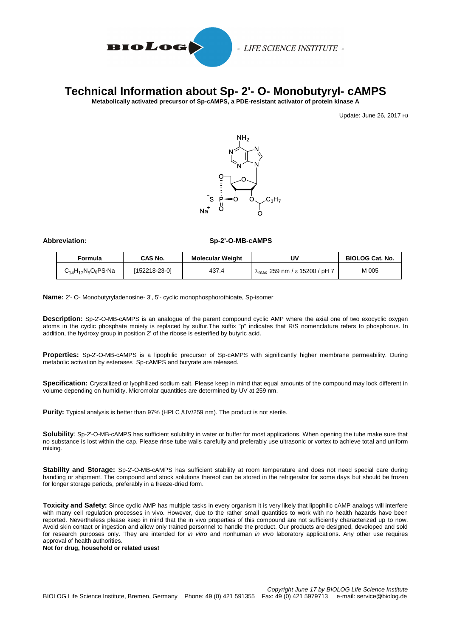

## **Technical Information about Sp- 2'- O- Monobutyryl- cAMPS**

**Metabolically activated precursor of Sp-cAMPS, a PDE-resistant activator of protein kinase A**

Update: June 26, 2017 HJ



## **Abbreviation: Sp-2'-O-MB-cAMPS**

| Formula                         | CAS No.       | <b>Molecular Weight</b> | UV                                             | <b>BIOLOG Cat. No.</b> |
|---------------------------------|---------------|-------------------------|------------------------------------------------|------------------------|
| $C_{14}H_{17}N_5O_6PS \cdot Na$ | [152218-23-0] | 437.4                   | $\lambda_{\text{max}}$ 259 nm / ε 15200 / pH 7 | M 005                  |

**Name:** 2'- O- Monobutyryladenosine- 3', 5'- cyclic monophosphorothioate, Sp-isomer

**Description:** Sp-2'-O-MB-cAMPS is an analogue of the parent compound cyclic AMP where the axial one of two exocyclic oxygen atoms in the cyclic phosphate moiety is replaced by sulfur.The suffix "p" indicates that R/S nomenclature refers to phosphorus. In addition, the hydroxy group in position 2' of the ribose is esterified by butyric acid.

**Properties:** Sp-2'-O-MB-cAMPS is a lipophilic precursor of Sp-cAMPS with significantly higher membrane permeability. During metabolic activation by esterases Sp-cAMPS and butyrate are released.

**Specification:** Crystallized or lyophilized sodium salt. Please keep in mind that equal amounts of the compound may look different in volume depending on humidity. Micromolar quantities are determined by UV at 259 nm.

**Purity:** Typical analysis is better than 97% (HPLC /UV/259 nm). The product is not sterile.

**Solubility**: Sp-2'-O-MB-cAMPS has sufficient solubility in water or buffer for most applications. When opening the tube make sure that no substance is lost within the cap. Please rinse tube walls carefully and preferably use ultrasonic or vortex to achieve total and uniform mixing.

**Stability and Storage:** Sp-2'-O-MB-cAMPS has sufficient stability at room temperature and does not need special care during handling or shipment. The compound and stock solutions thereof can be stored in the refrigerator for some days but should be frozen for longer storage periods, preferably in a freeze-dried form.

**Toxicity and Safety:** Since cyclic AMP has multiple tasks in every organism it is very likely that lipophilic cAMP analogs will interfere with many cell regulation processes in vivo. However, due to the rather small quantities to work with no health hazards have been reported. Nevertheless please keep in mind that the in vivo properties of this compound are not sufficiently characterized up to now. Avoid skin contact or ingestion and allow only trained personnel to handle the product. Our products are designed, developed and sold for research purposes only. They are intended for *in vitro* and nonhuman *in vivo* laboratory applications. Any other use requires approval of health authorities.

**Not for drug, household or related uses!**